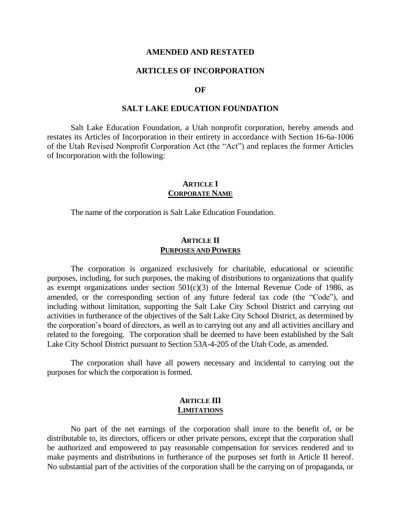#### **AMENDED AND RESTATED**

#### **ARTICLES OF INCORPORATION**

#### **OF**

#### **SALT LAKE EDUCATION FOUNDATION**

Salt Lake Education Foundation, a Utah nonprofit corporation, hereby amends and restates its Articles of Incorporation in their entirety in accordance with Section 16-6a-1006 of the Utah Revised Nonprofit Corporation Act (the "Act") and replaces the former Articles of Incorporation with the following:

### **ARTICLE I CORPORATE NAME**

The name of the corporation is Salt Lake Education Foundation.

#### **ARTICLE II PURPOSES AND POWERS**

The corporation is organized exclusively for charitable, educational or scientific purposes, including, for such purposes, the making of distributions to organizations that qualify as exempt organizations under section  $501(c)(3)$  of the Internal Revenue Code of 1986, as amended, or the corresponding section of any future federal tax code (the "Code"), and including without limitation, supporting the Salt Lake City School District and carrying out activities in furtherance of the objectives of the Salt Lake City School District, as determined by the corporation's board of directors, as well as to carrying out any and all activities ancillary and related to the foregoing. The corporation shall be deemed to have been established by the Salt Lake City School District pursuant to Section 53A-4-205 of the Utah Code, as amended.

The corporation shall have all powers necessary and incidental to carrying out the purposes for which the corporation is formed.

### **ARTICLE III LIMITATIONS**

No part of the net earnings of the corporation shall inure to the benefit of, or be distributable to, its directors, officers or other private persons, except that the corporation shall be authorized and empowered to pay reasonable compensation for services rendered and to make payments and distributions in furtherance of the purposes set forth in Article II hereof. No substantial part of the activities of the corporation shall be the carrying on of propaganda, or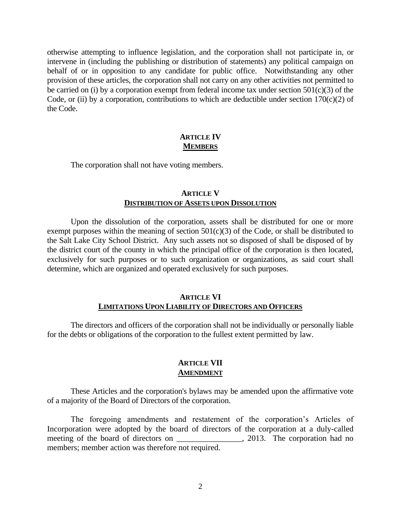otherwise attempting to influence legislation, and the corporation shall not participate in, or intervene in (including the publishing or distribution of statements) any political campaign on behalf of or in opposition to any candidate for public office. Notwithstanding any other provision of these articles, the corporation shall not carry on any other activities not permitted to be carried on (i) by a corporation exempt from federal income tax under section  $501(c)(3)$  of the Code, or (ii) by a corporation, contributions to which are deductible under section  $170(c)(2)$  of the Code.

## **ARTICLE IV MEMBERS**

The corporation shall not have voting members.

# **ARTICLE V DISTRIBUTION OF ASSETS UPON DISSOLUTION**

Upon the dissolution of the corporation, assets shall be distributed for one or more exempt purposes within the meaning of section  $501(c)(3)$  of the Code, or shall be distributed to the Salt Lake City School District. Any such assets not so disposed of shall be disposed of by the district court of the county in which the principal office of the corporation is then located, exclusively for such purposes or to such organization or organizations, as said court shall determine, which are organized and operated exclusively for such purposes.

## **ARTICLE VI LIMITATIONS UPON LIABILITY OF DIRECTORS AND OFFICERS**

The directors and officers of the corporation shall not be individually or personally liable for the debts or obligations of the corporation to the fullest extent permitted by law.

## **ARTICLE VII AMENDMENT**

These Articles and the corporation's bylaws may be amended upon the affirmative vote of a majority of the Board of Directors of the corporation.

The foregoing amendments and restatement of the corporation's Articles of Incorporation were adopted by the board of directors of the corporation at a duly-called meeting of the board of directors on \_\_\_\_\_\_\_\_\_\_\_\_\_\_, 2013. The corporation had no members; member action was therefore not required.